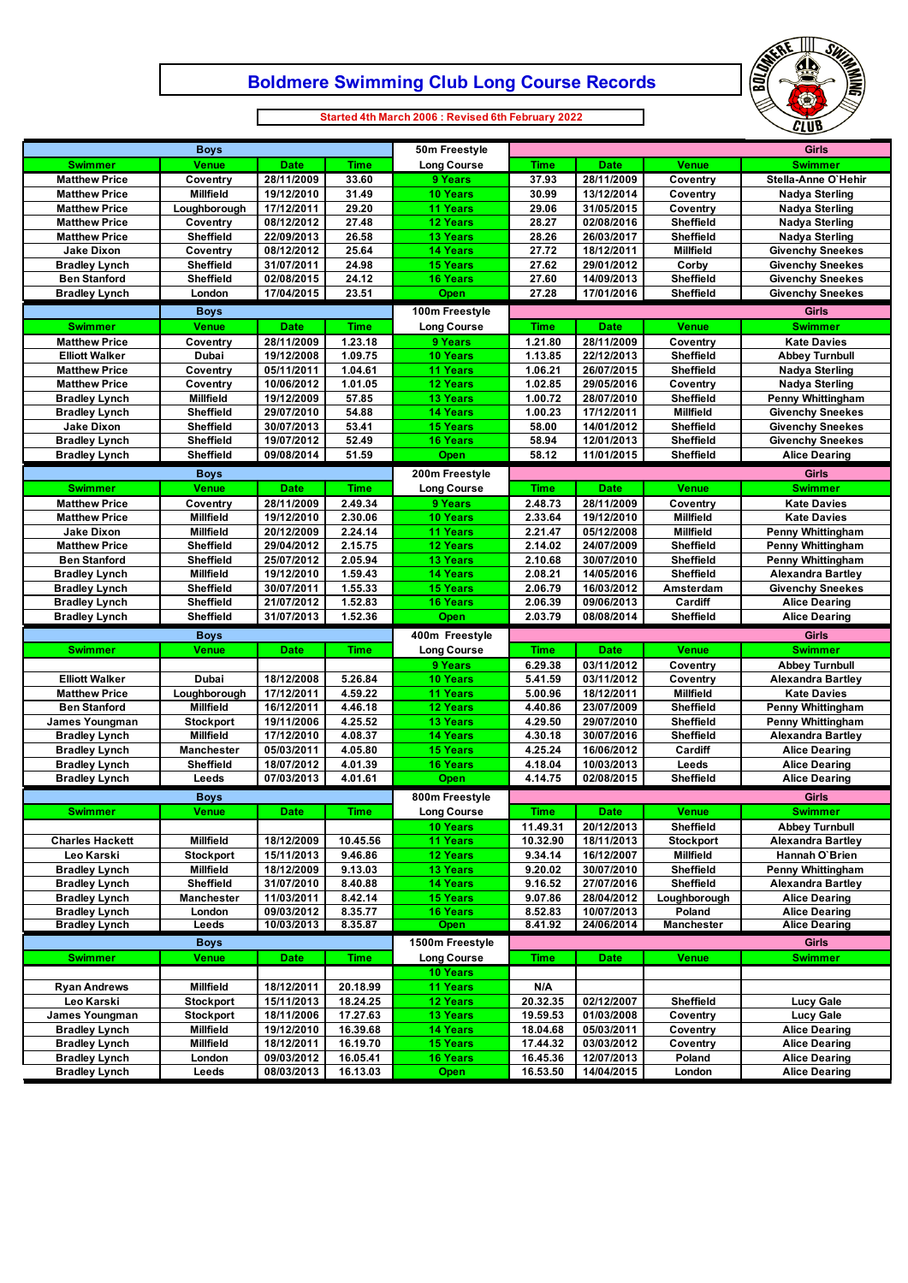# **Boldmere Swimming Club Long Course Records**



**Started 4th March 2006 : Revised 6th February 2022**

 $\Box$ 

| <b>Boys</b>                                  |                                      |                          | 50m Freestyle        | <b>Girls</b>                       |                      |                          |                                      |                                                      |
|----------------------------------------------|--------------------------------------|--------------------------|----------------------|------------------------------------|----------------------|--------------------------|--------------------------------------|------------------------------------------------------|
| <b>Swimmer</b>                               | Venue                                | <b>Date</b>              | Time                 | <b>Long Course</b>                 | <b>Time</b>          | <b>Date</b>              | Venue                                | <b>Swimmer</b>                                       |
| <b>Matthew Price</b>                         | Coventry                             | 28/11/2009               | 33.60                | 9 Years                            | 37.93                | 28/11/2009               | Coventry                             | Stella-Anne O'Hehir                                  |
| <b>Matthew Price</b>                         | Millfield                            | 19/12/2010               | 31.49                | <b>10 Years</b>                    | 30.99                | 13/12/2014               | Coventry                             | <b>Nadya Sterling</b>                                |
| <b>Matthew Price</b>                         | Loughborough                         | 17/12/2011               | 29.20                | 11 Years                           | 29.06                | 31/05/2015               | Coventry                             | <b>Nadya Sterling</b>                                |
| <b>Matthew Price</b>                         | Coventry                             | 08/12/2012               | 27.48                | <b>12 Years</b>                    | 28.27                | 02/08/2016               | <b>Sheffield</b>                     | <b>Nadya Sterling</b>                                |
| <b>Matthew Price</b>                         | <b>Sheffield</b>                     | 22/09/2013               | 26.58                | <b>13 Years</b>                    | 28.26                | 26/03/2017               | <b>Sheffield</b>                     | <b>Nadya Sterling</b>                                |
| <b>Jake Dixon</b>                            | Coventry                             | 08/12/2012               | 25.64                | <b>14 Years</b>                    | 27.72                | 18/12/2011               | <b>Millfield</b>                     | <b>Givenchy Sneekes</b>                              |
| <b>Bradley Lynch</b>                         | Sheffield                            | 31/07/2011               | 24.98                | <b>15 Years</b>                    | 27.62                | 29/01/2012               | Corby                                | <b>Givenchy Sneekes</b>                              |
| <b>Ben Stanford</b>                          | <b>Sheffield</b>                     | 02/08/2015               | 24.12                | <b>16 Years</b>                    | 27.60                | 14/09/2013               | <b>Sheffield</b>                     | <b>Givenchy Sneekes</b>                              |
| <b>Bradley Lynch</b>                         | London                               | 17/04/2015               | 23.51                | Open                               | 27.28                | 17/01/2016               | Sheffield                            | <b>Givenchy Sneekes</b>                              |
|                                              | <b>Boys</b>                          |                          |                      | 100m Freestyle                     |                      |                          |                                      | <b>Girls</b>                                         |
| <b>Swimmer</b>                               | <b>Venue</b>                         | <b>Date</b>              | <b>Time</b>          | <b>Long Course</b>                 | <b>Time</b>          | <b>Date</b>              | Venue                                | <b>Swimmer</b>                                       |
| <b>Matthew Price</b>                         | Coventry                             | 28/11/2009               | 1.23.18              | 9 Years                            | 1.21.80              | 28/11/2009               | Coventry                             | <b>Kate Davies</b>                                   |
| <b>Elliott Walker</b>                        | Dubai                                | 19/12/2008               | 1.09.75              | 10 Years                           | 1.13.85              | 22/12/2013               | Sheffield                            | <b>Abbey Turnbull</b>                                |
| <b>Matthew Price</b>                         | Coventry                             | 05/11/2011               | 1.04.61              | <b>11 Years</b>                    | 1.06.21              | 26/07/2015               | Sheffield                            | <b>Nadya Sterling</b>                                |
| <b>Matthew Price</b>                         | Coventry                             | 10/06/2012               | 1.01.05              | 12 Years                           | 1.02.85              | 29/05/2016               | Coventry                             | <b>Nadya Sterling</b>                                |
| <b>Bradley Lynch</b>                         | <b>Millfield</b>                     | 19/12/2009               | 57.85                | <b>13 Years</b>                    | 1.00.72              | 28/07/2010               | <b>Sheffield</b>                     | <b>Penny Whittingham</b>                             |
| <b>Bradley Lynch</b>                         | Sheffield                            | 29/07/2010               | 54.88                | <b>14 Years</b>                    | 1.00.23              | 17/12/2011               | <b>Millfield</b>                     | <b>Givenchy Sneekes</b>                              |
| <b>Jake Dixon</b><br><b>Bradley Lynch</b>    | Sheffield                            | 30/07/2013               | 53.41<br>52.49       | <b>15 Years</b>                    | 58.00                | 14/01/2012<br>12/01/2013 | <b>Sheffield</b>                     | <b>Givenchy Sneekes</b>                              |
|                                              | Sheffield<br><b>Sheffield</b>        | 19/07/2012<br>09/08/2014 | 51.59                | <b>16 Years</b><br>Open            | 58.94<br>58.12       | 11/01/2015               | Sheffield<br>Sheffield               | <b>Givenchy Sneekes</b><br><b>Alice Dearing</b>      |
| <b>Bradley Lynch</b>                         |                                      |                          |                      |                                    |                      |                          |                                      |                                                      |
|                                              | <b>Boys</b>                          |                          |                      | 200m Freestyle                     |                      |                          |                                      | <b>Girls</b>                                         |
| <b>Swimmer</b>                               | Venue                                | <b>Date</b>              | <b>Time</b>          | <b>Long Course</b>                 | Time                 | <b>Date</b>              | Venue                                | <b>Swimmer</b>                                       |
| <b>Matthew Price</b>                         | Coventry                             | 28/11/2009               | 2.49.34              | 9 Years                            | 2.48.73              | 28/11/2009               | Coventry                             | <b>Kate Davies</b>                                   |
| <b>Matthew Price</b>                         | <b>Millfield</b>                     | 19/12/2010               | 2.30.06              | 10 Years                           | 2.33.64              | 19/12/2010               | <b>Millfield</b>                     | <b>Kate Davies</b>                                   |
| <b>Jake Dixon</b>                            | <b>Millfield</b>                     | 20/12/2009               | 2.24.14              | <b>11 Years</b>                    | 2.21.47              | 05/12/2008               | <b>Millfield</b>                     | <b>Penny Whittingham</b>                             |
| <b>Matthew Price</b>                         | Sheffield<br><b>Sheffield</b>        | 29/04/2012               | 2.15.75              | <b>12 Years</b>                    | 2.14.02              | 24/07/2009               | Sheffield                            | <b>Penny Whittingham</b>                             |
| <b>Ben Stanford</b><br><b>Bradley Lynch</b>  | <b>Millfield</b>                     | 25/07/2012<br>19/12/2010 | 2.05.94<br>1.59.43   | <b>13 Years</b><br><b>14 Years</b> | 2.10.68<br>2.08.21   | 30/07/2010<br>14/05/2016 | Sheffield<br>Sheffield               | <b>Penny Whittingham</b><br><b>Alexandra Bartley</b> |
| <b>Bradley Lynch</b>                         | Sheffield                            | 30/07/2011               | 1.55.33              | <b>15 Years</b>                    | 2.06.79              | 16/03/2012               | Amsterdam                            | <b>Givenchy Sneekes</b>                              |
| <b>Bradley Lynch</b>                         | Sheffield                            | 21/07/2012               | 1.52.83              | <b>16 Years</b>                    | 2.06.39              | 09/06/2013               | Cardiff                              | <b>Alice Dearing</b>                                 |
|                                              |                                      |                          |                      |                                    |                      |                          |                                      |                                                      |
|                                              |                                      |                          |                      |                                    |                      |                          |                                      |                                                      |
| <b>Bradley Lynch</b>                         | Sheffield                            | 31/07/2013               | 1.52.36              | Open                               | 2.03.79              | 08/08/2014               | Sheffield                            | <b>Alice Dearing</b>                                 |
|                                              | <b>Boys</b>                          |                          |                      | 400m Freestyle                     |                      |                          |                                      | <b>Girls</b>                                         |
| <b>Swimmer</b>                               | Venue                                | <b>Date</b>              | Time                 | <b>Long Course</b>                 | <b>Time</b>          | <b>Date</b>              | Venue                                | <b>Swimmer</b>                                       |
|                                              |                                      |                          |                      | 9 Years                            | 6.29.38              | 03/11/2012               | Coventry                             | <b>Abbey Turnbull</b>                                |
| <b>Elliott Walker</b>                        | Dubai                                | 18/12/2008               | 5.26.84              | <b>10 Years</b>                    | 5.41.59              | 03/11/2012               | Coventry                             | <b>Alexandra Bartley</b>                             |
| <b>Matthew Price</b>                         | Loughborough                         | 17/12/2011               | 4.59.22              | <b>11 Years</b>                    | 5.00.96              | 18/12/2011               | Millfield                            | <b>Kate Davies</b>                                   |
| <b>Ben Stanford</b>                          | <b>Millfield</b>                     | 16/12/2011               | 4.46.18              | 12 Years                           | 4.40.86              | 23/07/2009               | Sheffield                            | <b>Penny Whittingham</b>                             |
| James Youngman<br><b>Bradley Lynch</b>       | <b>Stockport</b><br><b>Millfield</b> | 19/11/2006<br>17/12/2010 | 4.25.52<br>4.08.37   | <b>13 Years</b><br><b>14 Years</b> | 4.29.50<br>4.30.18   | 29/07/2010<br>30/07/2016 | Sheffield<br>Sheffield               | <b>Penny Whittingham</b><br><b>Alexandra Bartley</b> |
| <b>Bradley Lynch</b>                         | <b>Manchester</b>                    | 05/03/2011               | 4.05.80              | <b>15 Years</b>                    | 4.25.24              | 16/06/2012               | Cardiff                              | <b>Alice Dearing</b>                                 |
| <b>Bradley Lynch</b>                         | Sheffield                            | 18/07/2012               | 4.01.39              | <b>16 Years</b>                    | 4.18.04              | 10/03/2013               | Leeds                                | <b>Alice Dearing</b>                                 |
| <b>Bradley Lynch</b>                         | Leeds                                | 07/03/2013               | 4.01.61              | Open                               | 4.14.75              | 02/08/2015               | Sheffield                            | <b>Alice Dearing</b>                                 |
|                                              |                                      |                          |                      | 800m Freestyle                     |                      |                          |                                      | <b>Girls</b>                                         |
|                                              | <b>Boys</b>                          |                          |                      |                                    |                      |                          |                                      |                                                      |
| <b>Swimmer</b>                               | Venue                                | <b>Date</b>              | <b>Time</b>          | <b>Long Course</b>                 | <b>Time</b>          | <b>Date</b>              | Venue                                | <b>Swimmer</b>                                       |
| <b>Charles Hackett</b>                       | <b>Millfield</b>                     |                          | 10.45.56             | 10 Years<br><b>11 Years</b>        | 11.49.31<br>10.32.90 | 20/12/2013<br>18/11/2013 | Sheffield                            | <b>Abbey Turnbull</b><br><b>Alexandra Bartley</b>    |
| Leo Karski                                   | <b>Stockport</b>                     | 18/12/2009<br>15/11/2013 | 9.46.86              | 12 Years                           | 9.34.14              | 16/12/2007               | <b>Stockport</b><br><b>Millfield</b> | Hannah O'Brien                                       |
| <b>Bradley Lynch</b>                         | <b>Millfield</b>                     | 18/12/2009               | 9.13.03              | 13 Years                           | 9.20.02              | 30/07/2010               | Sheffield                            | Penny Whittingham                                    |
| <b>Bradley Lynch</b>                         | Sheffield                            | 31/07/2010               | 8.40.88              | <b>14 Years</b>                    | 9.16.52              | 27/07/2016               | Sheffield                            | <b>Alexandra Bartley</b>                             |
| <b>Bradley Lynch</b>                         | <b>Manchester</b>                    | 11/03/2011               | 8.42.14              | <b>15 Years</b>                    | 9.07.86              | 28/04/2012               | Loughborough                         | <b>Alice Dearing</b>                                 |
| <b>Bradley Lynch</b>                         | London                               | 09/03/2012               | 8.35.77              | <b>16 Years</b>                    | 8.52.83              | 10/07/2013               | Poland                               | <b>Alice Dearing</b>                                 |
| <b>Bradley Lynch</b>                         | Leeds                                | 10/03/2013               | 8.35.87              | <b>Open</b>                        | 8.41.92              | 24/06/2014               | <b>Manchester</b>                    | <b>Alice Dearing</b>                                 |
|                                              | <b>Boys</b>                          |                          |                      | 1500m Freestyle                    |                      |                          |                                      | Girls                                                |
| <b>Swimmer</b>                               | Venue                                | <b>Date</b>              | <b>Time</b>          | <b>Long Course</b>                 | <b>Time</b>          | <b>Date</b>              | Venue                                | <b>Swimmer</b>                                       |
|                                              |                                      |                          |                      | 10 Years                           |                      |                          |                                      |                                                      |
| <b>Ryan Andrews</b>                          | <b>Millfield</b>                     | 18/12/2011               | 20.18.99             | 11 Years                           | N/A                  |                          |                                      |                                                      |
| Leo Karski                                   | <b>Stockport</b>                     | 15/11/2013               | 18.24.25             | 12 Years                           | 20.32.35             | 02/12/2007               | Sheffield                            | Lucy Gale                                            |
| James Youngman                               | <b>Stockport</b>                     | 18/11/2006               | 17.27.63             | 13 Years                           | 19.59.53             | 01/03/2008               | Coventry                             | <b>Lucy Gale</b>                                     |
| <b>Bradley Lynch</b>                         | <b>Millfield</b>                     | 19/12/2010               | 16.39.68             | <b>14 Years</b>                    | 18.04.68             | 05/03/2011               | Coventry                             | <b>Alice Dearing</b>                                 |
| <b>Bradley Lynch</b>                         | Millfield                            | 18/12/2011               | 16.19.70             | <b>15 Years</b>                    | 17.44.32             | 03/03/2012               | Coventry                             | <b>Alice Dearing</b>                                 |
| <b>Bradley Lynch</b><br><b>Bradley Lynch</b> | London<br>Leeds                      | 09/03/2012<br>08/03/2013 | 16.05.41<br>16.13.03 | <b>16 Years</b><br>Open            | 16.45.36<br>16.53.50 | 12/07/2013<br>14/04/2015 | Poland<br>London                     | <b>Alice Dearing</b><br><b>Alice Dearing</b>         |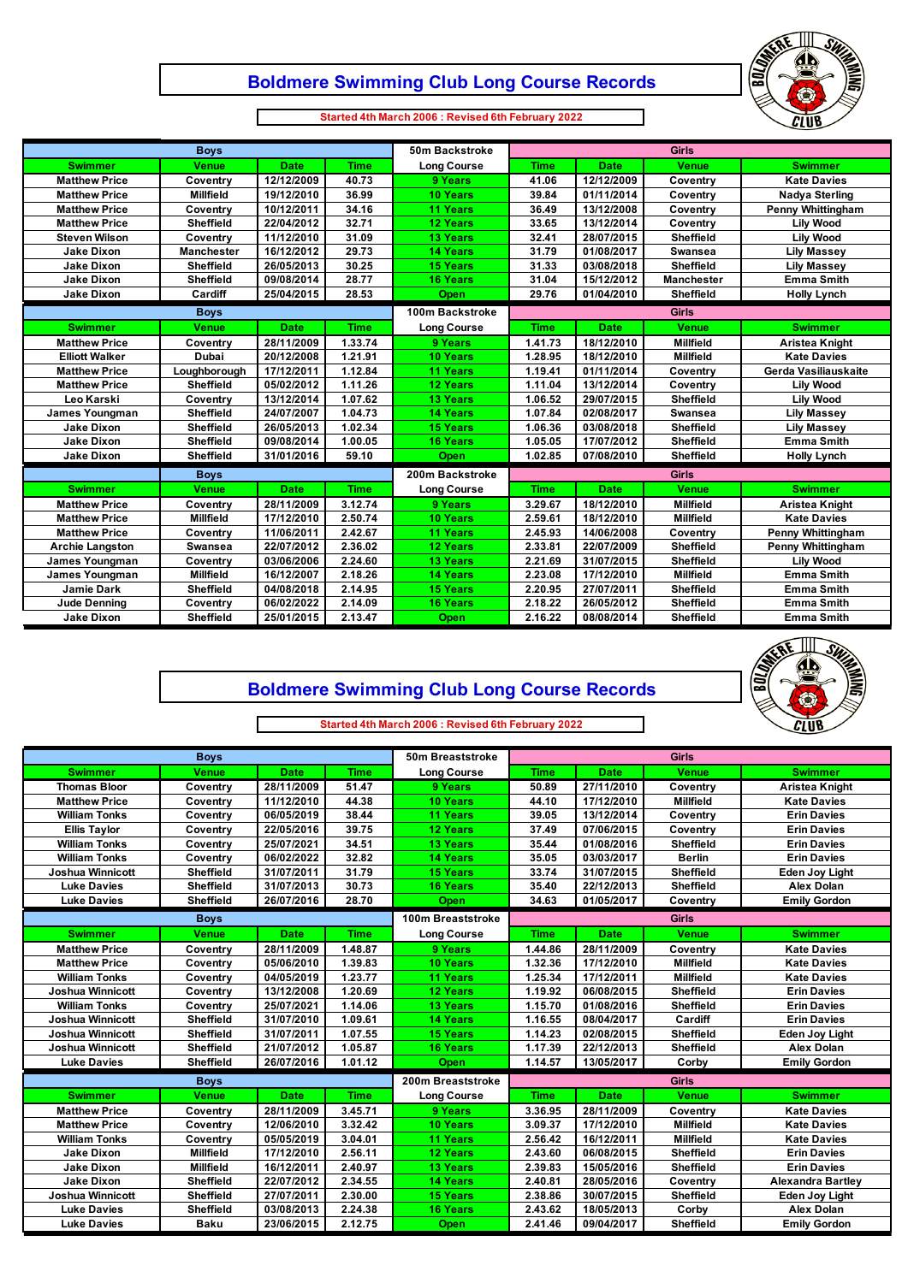## **Boldmere Swimming Club Long Course Records**



**Started 4th March 2006 : Revised 6th February 2022**

 $\Box$ 

 $\mathsf I$ 

| <b>Boys</b>            |                   |             |             | 50m Backstroke     |              | <b>Girls</b> |                   |                          |  |
|------------------------|-------------------|-------------|-------------|--------------------|--------------|--------------|-------------------|--------------------------|--|
| <b>Swimmer</b>         | <b>Venue</b>      | <b>Date</b> | <b>Time</b> | <b>Long Course</b> | <b>Time</b>  | <b>Date</b>  | <b>Venue</b>      | <b>Swimmer</b>           |  |
| <b>Matthew Price</b>   | Coventrv          | 12/12/2009  | 40.73       | 9 Years            | 41.06        | 12/12/2009   | Coventry          | <b>Kate Davies</b>       |  |
| <b>Matthew Price</b>   | <b>Millfield</b>  | 19/12/2010  | 36.99       | <b>10 Years</b>    | 39.84        | 01/11/2014   | Coventry          | <b>Nadya Sterling</b>    |  |
| <b>Matthew Price</b>   | Coventry          | 10/12/2011  | 34.16       | <b>11 Years</b>    | 36.49        | 13/12/2008   | Coventry          | <b>Penny Whittingham</b> |  |
| <b>Matthew Price</b>   | <b>Sheffield</b>  | 22/04/2012  | 32.71       | <b>12 Years</b>    | 33.65        | 13/12/2014   | Coventry          | <b>Lily Wood</b>         |  |
| <b>Steven Wilson</b>   | Coventry          | 11/12/2010  | 31.09       | <b>13 Years</b>    | 32.41        | 28/07/2015   | <b>Sheffield</b>  | <b>Lily Wood</b>         |  |
| <b>Jake Dixon</b>      | <b>Manchester</b> | 16/12/2012  | 29.73       | <b>14 Years</b>    | 31.79        | 01/08/2017   | <b>Swansea</b>    | <b>Lily Massey</b>       |  |
| <b>Jake Dixon</b>      | <b>Sheffield</b>  | 26/05/2013  | 30.25       | <b>15 Years</b>    | 31.33        | 03/08/2018   | <b>Sheffield</b>  | <b>Lily Massey</b>       |  |
| <b>Jake Dixon</b>      | <b>Sheffield</b>  | 09/08/2014  | 28.77       | <b>16 Years</b>    | 31.04        | 15/12/2012   | <b>Manchester</b> | <b>Emma Smith</b>        |  |
| <b>Jake Dixon</b>      | Cardiff           | 25/04/2015  | 28.53       | Open               | 29.76        | 01/04/2010   | Sheffield         | <b>Holly Lynch</b>       |  |
|                        | <b>Boys</b>       |             |             | 100m Backstroke    |              |              | <b>Girls</b>      |                          |  |
| <b>Swimmer</b>         | <b>Venue</b>      | <b>Date</b> | <b>Time</b> | <b>Long Course</b> | <b>Time</b>  | <b>Date</b>  | <b>Venue</b>      | <b>Swimmer</b>           |  |
| <b>Matthew Price</b>   | Coventry          | 28/11/2009  | 1.33.74     | 9 Years            | 1.41.73      | 18/12/2010   | <b>Millfield</b>  | Aristea Knight           |  |
| <b>Elliott Walker</b>  | Dubai             | 20/12/2008  | 1.21.91     | <b>10 Years</b>    | 1.28.95      | 18/12/2010   | <b>Millfield</b>  | <b>Kate Davies</b>       |  |
| <b>Matthew Price</b>   | Loughborough      | 17/12/2011  | 1.12.84     | <b>11 Years</b>    | 1.19.41      | 01/11/2014   | Coventry          | Gerda Vasiliauskaite     |  |
| <b>Matthew Price</b>   | <b>Sheffield</b>  | 05/02/2012  | 1.11.26     | <b>12 Years</b>    | 1.11.04      | 13/12/2014   | Coventry          | <b>Lily Wood</b>         |  |
| Leo Karski             | Coventry          | 13/12/2014  | 1.07.62     | <b>13 Years</b>    | 1.06.52      | 29/07/2015   | <b>Sheffield</b>  | <b>Lily Wood</b>         |  |
| James Youngman         | Sheffield         | 24/07/2007  | 1.04.73     | <b>14 Years</b>    | 1.07.84      | 02/08/2017   | <b>Swansea</b>    | <b>Lily Massey</b>       |  |
| <b>Jake Dixon</b>      | Sheffield         | 26/05/2013  | 1.02.34     | <b>15 Years</b>    | 1.06.36      | 03/08/2018   | Sheffield         | <b>Lily Massey</b>       |  |
| <b>Jake Dixon</b>      | <b>Sheffield</b>  | 09/08/2014  | 1.00.05     | <b>16 Years</b>    | 1.05.05      | 17/07/2012   | Sheffield         | <b>Emma Smith</b>        |  |
| <b>Jake Dixon</b>      | Sheffield         | 31/01/2016  | 59.10       | Open               | 1.02.85      | 07/08/2010   | Sheffield         | <b>Holly Lynch</b>       |  |
|                        | <b>Boys</b>       |             |             | 200m Backstroke    | <b>Girls</b> |              |                   |                          |  |
| <b>Swimmer</b>         | <b>Venue</b>      | <b>Date</b> | <b>Time</b> | <b>Long Course</b> | <b>Time</b>  | <b>Date</b>  | <b>Venue</b>      | <b>Swimmer</b>           |  |
| <b>Matthew Price</b>   | Coventry          | 28/11/2009  | 3.12.74     | 9 Years            | 3.29.67      | 18/12/2010   | <b>Millfield</b>  | <b>Aristea Knight</b>    |  |
| <b>Matthew Price</b>   | <b>Millfield</b>  | 17/12/2010  | 2.50.74     | <b>10 Years</b>    | 2.59.61      | 18/12/2010   | Millfield         | <b>Kate Davies</b>       |  |
| <b>Matthew Price</b>   | Coventry          | 11/06/2011  | 2.42.67     | <b>11 Years</b>    | 2.45.93      | 14/06/2008   | Coventry          | Penny Whittingham        |  |
| <b>Archie Langston</b> | Swansea           | 22/07/2012  | 2.36.02     | <b>12 Years</b>    | 2.33.81      | 22/07/2009   | Sheffield         | <b>Penny Whittingham</b> |  |
| James Youngman         | Coventry          | 03/06/2006  | 2.24.60     | <b>13 Years</b>    | 2.21.69      | 31/07/2015   | <b>Sheffield</b>  | <b>Lily Wood</b>         |  |
| James Youngman         | <b>Millfield</b>  | 16/12/2007  | 2.18.26     | <b>14 Years</b>    | 2.23.08      | 17/12/2010   | <b>Millfield</b>  | <b>Emma Smith</b>        |  |
| <b>Jamie Dark</b>      | <b>Sheffield</b>  | 04/08/2018  | 2.14.95     | <b>15 Years</b>    | 2.20.95      | 27/07/2011   | Sheffield         | <b>Emma Smith</b>        |  |
| <b>Jude Denning</b>    | Coventry          | 06/02/2022  | 2.14.09     | <b>16 Years</b>    | 2.18.22      | 26/05/2012   | Sheffield         | <b>Emma Smith</b>        |  |
| <b>Jake Dixon</b>      | <b>Sheffield</b>  | 25/01/2015  | 2.13.47     | Open               | 2.16.22      | 08/08/2014   | <b>Sheffield</b>  | <b>Emma Smith</b>        |  |



## **Boldmere Swimming Club Long Course Records**

| <b>Boys</b>             |                  |             |             | 50m Breaststroke   |              | <b>Girls</b> |                  |                          |  |
|-------------------------|------------------|-------------|-------------|--------------------|--------------|--------------|------------------|--------------------------|--|
| <b>Swimmer</b>          | Venue            | <b>Date</b> | <b>Time</b> | <b>Long Course</b> | <b>Time</b>  | <b>Date</b>  | <b>Venue</b>     | <b>Swimmer</b>           |  |
| <b>Thomas Bloor</b>     | Coventry         | 28/11/2009  | 51.47       | 9 Years            | 50.89        | 27/11/2010   | Coventry         | <b>Aristea Knight</b>    |  |
| <b>Matthew Price</b>    | Coventry         | 11/12/2010  | 44.38       | <b>10 Years</b>    | 44.10        | 17/12/2010   | <b>Millfield</b> | <b>Kate Davies</b>       |  |
| <b>William Tonks</b>    | Coventry         | 06/05/2019  | 38.44       | <b>11 Years</b>    | 39.05        | 13/12/2014   | Coventry         | <b>Erin Davies</b>       |  |
| <b>Ellis Taylor</b>     | Coventry         | 22/05/2016  | 39.75       | 12 Years           | 37.49        | 07/06/2015   | Coventry         | <b>Erin Davies</b>       |  |
| <b>William Tonks</b>    | Coventry         | 25/07/2021  | 34.51       | <b>13 Years</b>    | 35.44        | 01/08/2016   | Sheffield        | <b>Erin Davies</b>       |  |
| <b>William Tonks</b>    | Coventry         | 06/02/2022  | 32.82       | <b>14 Years</b>    | 35.05        | 03/03/2017   | <b>Berlin</b>    | <b>Erin Davies</b>       |  |
| <b>Joshua Winnicott</b> | <b>Sheffield</b> | 31/07/2011  | 31.79       | <b>15 Years</b>    | 33.74        | 31/07/2015   | <b>Sheffield</b> | Eden Joy Light           |  |
| <b>Luke Davies</b>      | <b>Sheffield</b> | 31/07/2013  | 30.73       | <b>16 Years</b>    | 35.40        | 22/12/2013   | <b>Sheffield</b> | <b>Alex Dolan</b>        |  |
| <b>Luke Davies</b>      | <b>Sheffield</b> | 26/07/2016  | 28.70       | Open               | 34.63        | 01/05/2017   | Coventry         | <b>Emily Gordon</b>      |  |
|                         | <b>Boys</b>      |             |             | 100m Breaststroke  |              |              | Girls            |                          |  |
| <b>Swimmer</b>          | <b>Venue</b>     | <b>Date</b> | <b>Time</b> | <b>Long Course</b> | <b>Time</b>  | <b>Date</b>  | <b>Venue</b>     | <b>Swimmer</b>           |  |
| <b>Matthew Price</b>    | Coventry         | 28/11/2009  | 1.48.87     | 9 Years            | 1.44.86      | 28/11/2009   | Coventry         | <b>Kate Davies</b>       |  |
| <b>Matthew Price</b>    | Coventry         | 05/06/2010  | 1.39.83     | <b>10 Years</b>    | 1.32.36      | 17/12/2010   | <b>Millfield</b> | <b>Kate Davies</b>       |  |
| <b>William Tonks</b>    | Coventry         | 04/05/2019  | 1.23.77     | <b>11 Years</b>    | 1.25.34      | 17/12/2011   | <b>Millfield</b> | <b>Kate Davies</b>       |  |
| <b>Joshua Winnicott</b> | Coventry         | 13/12/2008  | 1.20.69     | <b>12 Years</b>    | 1.19.92      | 06/08/2015   | <b>Sheffield</b> | <b>Erin Davies</b>       |  |
| <b>William Tonks</b>    | Coventry         | 25/07/2021  | 1.14.06     | <b>13 Years</b>    | 1.15.70      | 01/08/2016   | <b>Sheffield</b> | <b>Erin Davies</b>       |  |
| <b>Joshua Winnicott</b> | <b>Sheffield</b> | 31/07/2010  | 1.09.61     | <b>14 Years</b>    | 1.16.55      | 08/04/2017   | Cardiff          | <b>Erin Davies</b>       |  |
| <b>Joshua Winnicott</b> | <b>Sheffield</b> | 31/07/2011  | 1.07.55     | <b>15 Years</b>    | 1.14.23      | 02/08/2015   | <b>Sheffield</b> | Eden Joy Light           |  |
| <b>Joshua Winnicott</b> | Sheffield        | 21/07/2012  | 1.05.87     | <b>16 Years</b>    | 1.17.39      | 22/12/2013   | <b>Sheffield</b> | <b>Alex Dolan</b>        |  |
| <b>Luke Davies</b>      | <b>Sheffield</b> | 26/07/2016  | 1.01.12     | Open               | 1.14.57      | 13/05/2017   | Corby            | <b>Emily Gordon</b>      |  |
|                         | <b>Boys</b>      |             |             | 200m Breaststroke  | <b>Girls</b> |              |                  |                          |  |
| <b>Swimmer</b>          | <b>Venue</b>     | <b>Date</b> | <b>Time</b> | <b>Long Course</b> | <b>Time</b>  | <b>Date</b>  | <b>Venue</b>     | <b>Swimmer</b>           |  |
| <b>Matthew Price</b>    | Coventry         | 28/11/2009  | 3.45.71     | 9 Years            | 3.36.95      | 28/11/2009   | Coventry         | <b>Kate Davies</b>       |  |
| <b>Matthew Price</b>    | Coventry         | 12/06/2010  | 3.32.42     | <b>10 Years</b>    | 3.09.37      | 17/12/2010   | <b>Millfield</b> | <b>Kate Davies</b>       |  |
| <b>William Tonks</b>    | Coventry         | 05/05/2019  | 3.04.01     | <b>11 Years</b>    | 2.56.42      | 16/12/2011   | <b>Millfield</b> | <b>Kate Davies</b>       |  |
| <b>Jake Dixon</b>       | <b>Millfield</b> | 17/12/2010  | 2.56.11     | <b>12 Years</b>    | 2.43.60      | 06/08/2015   | <b>Sheffield</b> | <b>Erin Davies</b>       |  |
| <b>Jake Dixon</b>       | <b>Millfield</b> | 16/12/2011  | 2.40.97     | <b>13 Years</b>    | 2.39.83      | 15/05/2016   | <b>Sheffield</b> | <b>Erin Davies</b>       |  |
| <b>Jake Dixon</b>       | <b>Sheffield</b> | 22/07/2012  | 2.34.55     | <b>14 Years</b>    | 2.40.81      | 28/05/2016   | Coventry         | <b>Alexandra Bartley</b> |  |
| <b>Joshua Winnicott</b> | <b>Sheffield</b> | 27/07/2011  | 2.30.00     | <b>15 Years</b>    | 2.38.86      | 30/07/2015   | <b>Sheffield</b> | Eden Joy Light           |  |
| <b>Luke Davies</b>      | <b>Sheffield</b> | 03/08/2013  | 2.24.38     | <b>16 Years</b>    | 2.43.62      | 18/05/2013   | Corby            | <b>Alex Dolan</b>        |  |
| <b>Luke Davies</b>      | <b>Baku</b>      | 23/06/2015  | 2.12.75     | Open               | 2.41.46      | 09/04/2017   | <b>Sheffield</b> | <b>Emily Gordon</b>      |  |